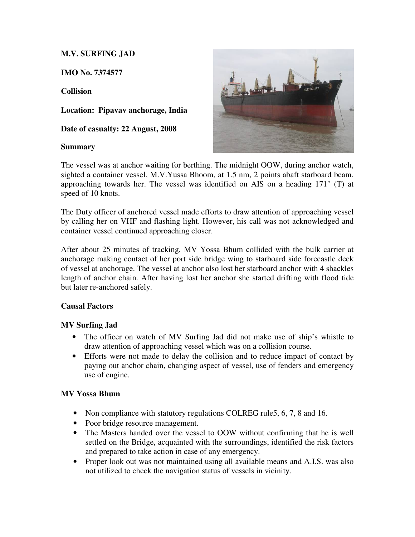# **M.V. SURFING JAD**

**IMO No. 7374577** 

**Collision** 

**Location: Pipavav anchorage, India** 

**Date of casualty: 22 August, 2008** 

## **Summary**



The vessel was at anchor waiting for berthing. The midnight OOW, during anchor watch, sighted a container vessel, M.V.Yussa Bhoom, at 1.5 nm, 2 points abaft starboard beam, approaching towards her. The vessel was identified on AIS on a heading 171° (T) at speed of 10 knots.

The Duty officer of anchored vessel made efforts to draw attention of approaching vessel by calling her on VHF and flashing light. However, his call was not acknowledged and container vessel continued approaching closer.

After about 25 minutes of tracking, MV Yossa Bhum collided with the bulk carrier at anchorage making contact of her port side bridge wing to starboard side forecastle deck of vessel at anchorage. The vessel at anchor also lost her starboard anchor with 4 shackles length of anchor chain. After having lost her anchor she started drifting with flood tide but later re-anchored safely.

# **Causal Factors**

# **MV Surfing Jad**

- The officer on watch of MV Surfing Jad did not make use of ship's whistle to draw attention of approaching vessel which was on a collision course.
- Efforts were not made to delay the collision and to reduce impact of contact by paying out anchor chain, changing aspect of vessel, use of fenders and emergency use of engine.

# **MV Yossa Bhum**

- Non compliance with statutory regulations COLREG rule5, 6, 7, 8 and 16.
- Poor bridge resource management.
- The Masters handed over the vessel to OOW without confirming that he is well settled on the Bridge, acquainted with the surroundings, identified the risk factors and prepared to take action in case of any emergency.
- Proper look out was not maintained using all available means and A.I.S. was also not utilized to check the navigation status of vessels in vicinity.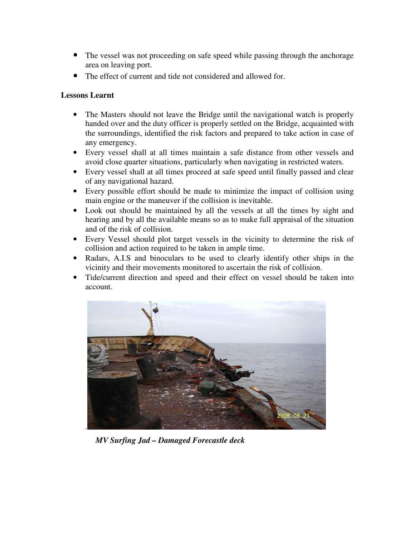- The vessel was not proceeding on safe speed while passing through the anchorage area on leaving port.
- The effect of current and tide not considered and allowed for.

# **Lessons Learnt**

- The Masters should not leave the Bridge until the navigational watch is properly handed over and the duty officer is properly settled on the Bridge, acquainted with the surroundings, identified the risk factors and prepared to take action in case of any emergency.
- Every vessel shall at all times maintain a safe distance from other vessels and avoid close quarter situations, particularly when navigating in restricted waters.
- Every vessel shall at all times proceed at safe speed until finally passed and clear of any navigational hazard.
- Every possible effort should be made to minimize the impact of collision using main engine or the maneuver if the collision is inevitable.
- Look out should be maintained by all the vessels at all the times by sight and hearing and by all the available means so as to make full appraisal of the situation and of the risk of collision.
- Every Vessel should plot target vessels in the vicinity to determine the risk of collision and action required to be taken in ample time.
- Radars, A.I.S and binoculars to be used to clearly identify other ships in the vicinity and their movements monitored to ascertain the risk of collision.
- Tide/current direction and speed and their effect on vessel should be taken into account.



*MV Surfing Jad – Damaged Forecastle deck*